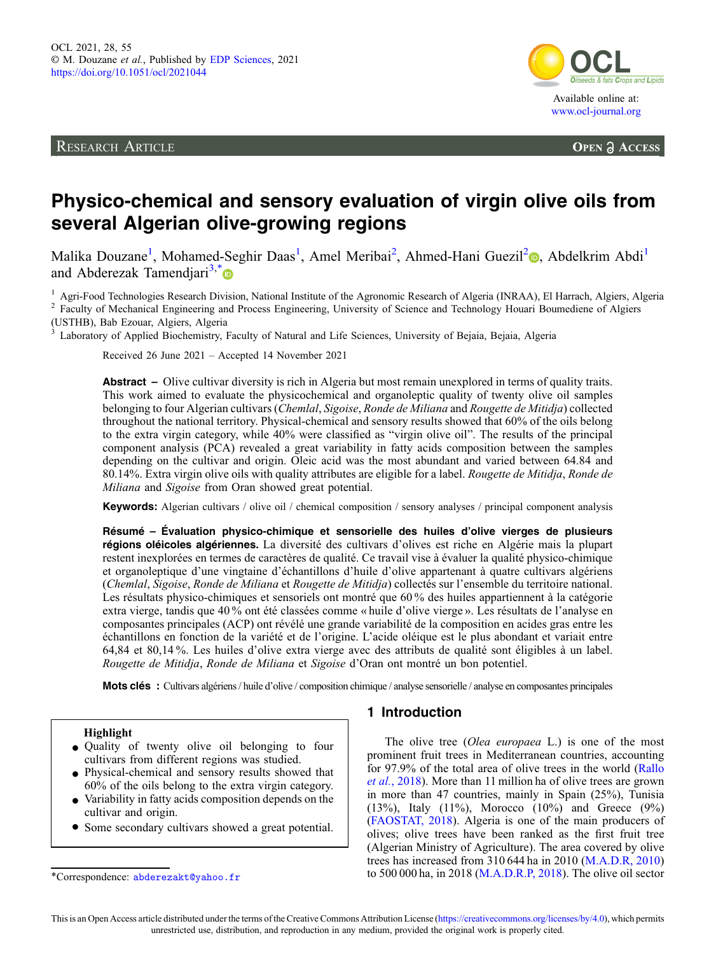RESEARCH ARTICLE



**OPEN A ACCESS** 

# Physico-chemical and sensory evaluation of virgin olive oils from several Algerian olive-growing regions

Malika Douzane<sup>1</sup>[,](https://orcid.org/0000-0001-6428-1129) Mohamed-Seghir Daas<sup>1</sup>, Amel Meribai<sup>2</sup>, Ahmed-Hani Guezil<sup>2</sup>., Abdelkrim Abdi<sup>1</sup> and Abderezak Tamendiari<sup>3,[\\*](https://orcid.org/0000-0002-9287-4383)</sup>

<sup>1</sup> Agri-Food Technologies Research Division, National Institute of the Agronomic Research of Algeria (INRAA), El Harrach, Algiers, Algeria  $^2$  Faculty of Mechanical Engineering and Process Engineering, University of Sci (USTHB), Bab Ezouar, Algiers, Algeria

<sup>3</sup> Laboratory of Applied Biochemistry, Faculty of Natural and Life Sciences, University of Bejaia, Bejaia, Algeria

Received 26 June 2021 – Accepted 14 November 2021

Abstract – Olive cultivar diversity is rich in Algeria but most remain unexplored in terms of quality traits. This work aimed to evaluate the physicochemical and organoleptic quality of twenty olive oil samples belonging to four Algerian cultivars (Chemlal, Sigoise, Ronde de Miliana and Rougette de Mitidia) collected throughout the national territory. Physical-chemical and sensory results showed that 60% of the oils belong to the extra virgin category, while 40% were classified as "virgin olive oil". The results of the principal component analysis (PCA) revealed a great variability in fatty acids composition between the samples depending on the cultivar and origin. Oleic acid was the most abundant and varied between 64.84 and 80.14%. Extra virgin olive oils with quality attributes are eligible for a label. Rougette de Mitidja, Ronde de Miliana and Sigoise from Oran showed great potential.

Keywords: Algerian cultivars / olive oil / chemical composition / sensory analyses / principal component analysis

Résumé – Évaluation physico-chimique et sensorielle des huiles d'olive vierges de plusieurs régions oléicoles algériennes. La diversité des cultivars d'olives est riche en Algérie mais la plupart restent inexplorées en termes de caractères de qualité. Ce travail vise à évaluer la qualité physico-chimique et organoleptique d'une vingtaine d'échantillons d'huile d'olive appartenant à quatre cultivars algériens (Chemlal, Sigoise, Ronde de Miliana et Rougette de Mitidja) collectés sur l'ensemble du territoire national. Les résultats physico-chimiques et sensoriels ont montré que 60 % des huiles appartiennent à la catégorie extra vierge, tandis que 40 % ont été classées comme « huile d'olive vierge ». Les résultats de l'analyse en composantes principales (ACP) ont révélé une grande variabilité de la composition en acides gras entre les échantillons en fonction de la variété et de l'origine. L'acide oléique est le plus abondant et variait entre 64,84 et 80,14 %. Les huiles d'olive extra vierge avec des attributs de qualité sont éligibles à un label. Rougette de Mitidja, Ronde de Miliana et Sigoise d'Oran ont montré un bon potentiel.

Mots clés : Cultivars algériens / huile d'olive / composition chimique / analyse sensorielle / analyse en composantes principales

- Quality of twenty olive oil belonging to four cultivars from different regions was studied.
- Physical-chemical and sensory results showed that 60% of the oils belong to the extra virgin category.
- $\bullet$  Variability in fatty acids composition depends on the cultivar and origin.
- \* Some secondary cultivars showed a great potential.

# 1 Introduction

The olive tree (Olea europaea L.) is one of the most prominent fruit trees in Mediterranean countries, accounting for 97.9% of the total area of olive trees in the world [\(Rallo](#page-10-0) et al.[, 2018\)](#page-10-0). More than 11 million ha of olive trees are grown in more than 47 countries, mainly in Spain (25%), Tunisia (13%), Italy (11%), Morocco (10%) and Greece (9%) ([FAOSTAT, 2018\)](#page-9-0). Algeria is one of the main producers of olives; olive trees have been ranked as the first fruit tree (Algerian Ministry of Agriculture). The area covered by olive trees has increased from 310 644 ha in 2010 ([M.A.D.R, 2010](#page-10-0)) \*Correspondence: abderezakt@yahoo.fr to 500 000 ha, in 2018 ([M.A.D.R.P, 2018\)](#page-10-0). The olive oil sector

This is an Open Access article distributed under the terms of the Creative Commons Attribution License ([https://creativecommons.org/licenses/by/4.0\)](https://creativecommons.org/licenses/by/4.0), which permits unrestricted use, distribution, and reproduction in any medium, provided the original work is properly cited.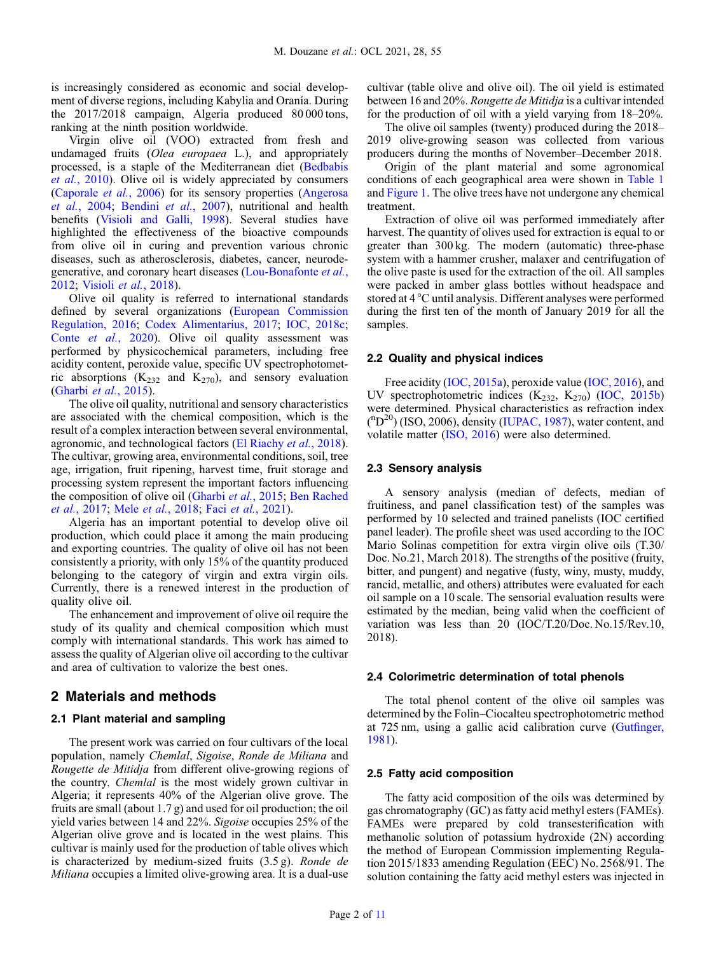is increasingly considered as economic and social development of diverse regions, including Kabylia and Oranía. During the 2017/2018 campaign, Algeria produced 80 000 tons, ranking at the ninth position worldwide.

Virgin olive oil (VOO) extracted from fresh and undamaged fruits (Olea europaea L.), and appropriately processed, is a staple of the Mediterranean diet ([Bedbabis](#page-9-0) et al.[, 2010\)](#page-9-0). Olive oil is widely appreciated by consumers ([Caporale](#page-9-0) et al., 2006) for its sensory properties ([Angerosa](#page-9-0) et al.[, 2004;](#page-9-0) [Bendini](#page-9-0) et al., 2007), nutritional and health benefits ([Visioli and Galli, 1998](#page-10-0)). Several studies have highlighted the effectiveness of the bioactive compounds from olive oil in curing and prevention various chronic diseases, such as atherosclerosis, diabetes, cancer, neurodegenerative, and coronary heart diseases [\(Lou-Bonafonte](#page-10-0) et al., [2012](#page-10-0); [Visioli](#page-10-0) et al., 2018).

Olive oil quality is referred to international standards defined by several organizations [\(European Commission](#page-9-0) [Regulation, 2016](#page-9-0); [Codex Alimentarius, 2017;](#page-9-0) [IOC, 2018c](#page-10-0); Conte et al.[, 2020\)](#page-9-0). Olive oil quality assessment was performed by physicochemical parameters, including free acidity content, peroxide value, specific UV spectrophotometric absorptions  $(K_{232}$  and  $K_{270}$ ), and sensory evaluation ([Gharbi](#page-9-0) et al., 2015).

The olive oil quality, nutritional and sensory characteristics are associated with the chemical composition, which is the result of a complex interaction between several environmental, agronomic, and technological factors ([El Riachy](#page-9-0) et al., 2018). The cultivar, growing area, environmental conditions, soil, tree age, irrigation, fruit ripening, harvest time, fruit storage and processing system represent the important factors influencing the composition of olive oil ([Gharbi](#page-9-0) et al., 2015; [Ben Rached](#page-9-0) et al.[, 2017](#page-9-0); Mele et al.[, 2018](#page-10-0); Faci et al.[, 2021](#page-9-0)).

Algeria has an important potential to develop olive oil production, which could place it among the main producing and exporting countries. The quality of olive oil has not been consistently a priority, with only 15% of the quantity produced belonging to the category of virgin and extra virgin oils. Currently, there is a renewed interest in the production of quality olive oil.

The enhancement and improvement of olive oil require the study of its quality and chemical composition which must comply with international standards. This work has aimed to assess the quality of Algerian olive oil according to the cultivar and area of cultivation to valorize the best ones.

# 2 Materials and methods

# 2.1 Plant material and sampling

The present work was carried on four cultivars of the local population, namely Chemlal, Sigoise, Ronde de Miliana and Rougette de Mitidja from different olive-growing regions of the country. Chemlal is the most widely grown cultivar in Algeria; it represents 40% of the Algerian olive grove. The fruits are small (about 1.7 g) and used for oil production; the oil yield varies between 14 and 22%. Sigoise occupies 25% of the Algerian olive grove and is located in the west plains. This cultivar is mainly used for the production of table olives which is characterized by medium-sized fruits (3.5 g). Ronde de Miliana occupies a limited olive-growing area. It is a dual-use

cultivar (table olive and olive oil). The oil yield is estimated between 16 and 20%. Rougette de Mitidja is a cultivar intended for the production of oil with a yield varying from 18–20%.

The olive oil samples (twenty) produced during the 2018– 2019 olive-growing season was collected from various producers during the months of November–December 2018.

Origin of the plant material and some agronomical conditions of each geographical area were shown in [Table 1](#page-2-0) and [Figure 1](#page-3-0). The olive trees have not undergone any chemical treatment.

Extraction of olive oil was performed immediately after harvest. The quantity of olives used for extraction is equal to or greater than 300 kg. The modern (automatic) three-phase system with a hammer crusher, malaxer and centrifugation of the olive paste is used for the extraction of the oil. All samples were packed in amber glass bottles without headspace and stored at 4 °C until analysis. Different analyses were performed during the first ten of the month of January 2019 for all the samples.

# 2.2 Quality and physical indices

Free acidity [\(IOC, 2015a](#page-10-0)), peroxide value [\(IOC, 2016\)](#page-10-0), and UV spectrophotometric indices  $(K_{232}, K_{270})$  ([IOC, 2015b](#page-10-0)) were determined. Physical characteristics as refraction index (<sup>n</sup>D<sup>20</sup>) (ISO, 2006), density ([IUPAC, 1987](#page-10-0)), water content, and volatile matter ([ISO, 2016](#page-10-0)) were also determined.

# 2.3 Sensory analysis

A sensory analysis (median of defects, median of fruitiness, and panel classification test) of the samples was performed by 10 selected and trained panelists (IOC certified panel leader). The profile sheet was used according to the IOC Mario Solinas competition for extra virgin olive oils (T.30/ Doc. No.21, March 2018). The strengths of the positive (fruity, bitter, and pungent) and negative (fusty, winy, musty, muddy, rancid, metallic, and others) attributes were evaluated for each oil sample on a 10 scale. The sensorial evaluation results were estimated by the median, being valid when the coefficient of variation was less than 20 (IOC/T.20/Doc. No.15/Rev.10, 2018).

#### 2.4 Colorimetric determination of total phenols

The total phenol content of the olive oil samples was determined by the Folin–Ciocalteu spectrophotometric method at 725 nm, using a gallic acid calibration curve (Gutfi[nger,](#page-9-0) [1981](#page-9-0)).

# 2.5 Fatty acid composition

The fatty acid composition of the oils was determined by gas chromatography (GC) as fatty acid methyl esters (FAMEs). FAMEs were prepared by cold transesterification with methanolic solution of potassium hydroxide (2N) according the method of European Commission implementing Regulation 2015/1833 amending Regulation (EEC) No. 2568/91. The solution containing the fatty acid methyl esters was injected in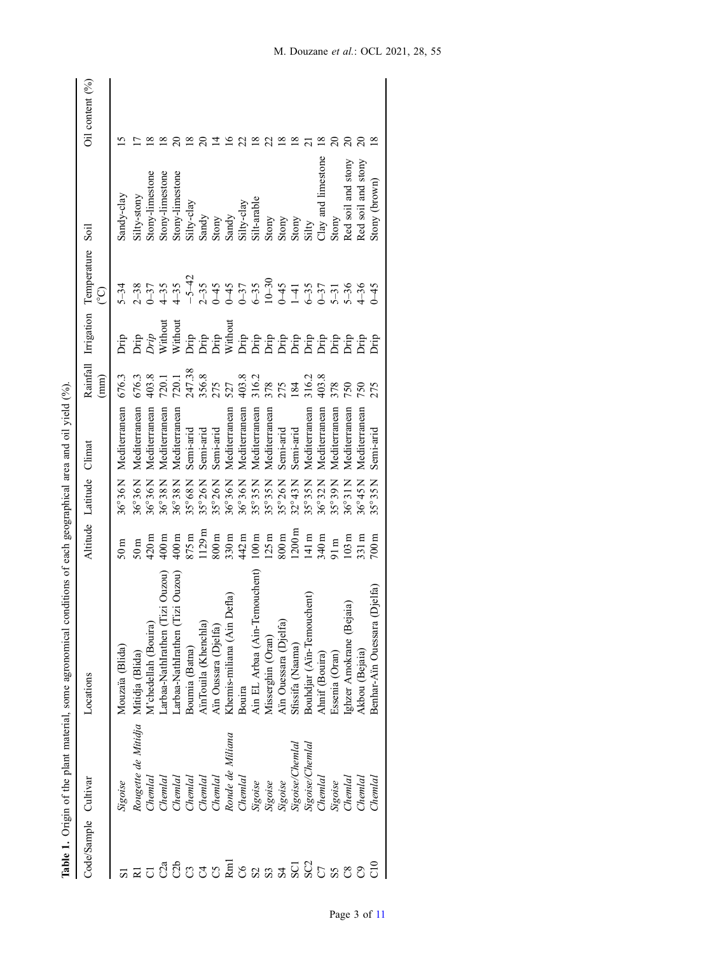| Ì                               |  |
|---------------------------------|--|
|                                 |  |
| <b>.C. C.S.C. C.C. C.C.</b>     |  |
| l                               |  |
|                                 |  |
|                                 |  |
| an an an an                     |  |
| <br>)                           |  |
| .<br>Comedia                    |  |
| and only on any                 |  |
| í                               |  |
|                                 |  |
| $\frac{1}{4}$<br>$\overline{a}$ |  |
| $\vdots$                        |  |
| Table                           |  |

<span id="page-2-0"></span>

| Code/Sample Cultivar |                                     | Locations                       |                   | Altitude Latitude Climat |               |                                 | Rainfall Irrigation                                                                  | Temperature | Soil                                                                                                   | Oil content $(%)$ |
|----------------------|-------------------------------------|---------------------------------|-------------------|--------------------------|---------------|---------------------------------|--------------------------------------------------------------------------------------|-------------|--------------------------------------------------------------------------------------------------------|-------------------|
|                      |                                     |                                 |                   |                          |               | (mm)                            |                                                                                      | င္          |                                                                                                        |                   |
|                      | Sigoise                             | Mouzaïa (Blida)                 | 50 <sub>m</sub>   | $36^{\circ}36$ N         | Mediterranean | 676.3                           |                                                                                      | $5 - 34$    | Sandy-clay                                                                                             |                   |
|                      | Rougette de Mitidja Mitidja (Blida) |                                 | 50m               | $36^{\circ}36$ N         | Mediterranean | 676.3                           | Drip<br>Drip<br><i>Drip</i><br>Without                                               |             | Silty-stony                                                                                            |                   |
|                      | Cheml                               | V'chedellah (Bouira)            | 120m              | $36^{\circ}36$ N         | Mediterranean | 403.8                           |                                                                                      |             | Stony-limestone                                                                                        |                   |
| C2a                  | Chemlal                             | arbaa-NathIrathen (Tizi Ouzou   | 400m              | $36^{\circ}38$ N         | Mediterranean | 720.1                           |                                                                                      |             | Stony-limestone                                                                                        |                   |
| C2b                  | Chemlal                             | arbaa-NathIrathen (Tizi Ouzou)  |                   | $36^{\circ}38$ N         | Mediterranean |                                 | ti<br>Santa California<br>Santa California California<br>Santa California California |             | Stony-limestone                                                                                        |                   |
| $355$                | Chemlal                             | Boumia (Batna)                  | $400m$<br>875 $m$ | 35°68N                   | Semi-arid     | 720.1<br>247.38<br>356.8<br>275 |                                                                                      |             | Silty-clay                                                                                             |                   |
|                      | Chemlal                             | AinTouila (Khenchla)            | 1129m             | 35°26N                   | Semi-arid     |                                 |                                                                                      |             |                                                                                                        |                   |
|                      | Chemlal                             | Aïn Oussara (Djelfa)            | 800m              | $35^{\circ}26$ N         | Semi-arid     |                                 |                                                                                      |             |                                                                                                        |                   |
| R <sub>m</sub>       | Ronde de Miliana                    | efla)<br>Khemis-miliana (Ain D  | 330m              | $36^{\circ}36$ N         | Mediterranean | 527                             |                                                                                      |             | $\begin{array}{c}\text{Sandy} \\ \text{S tony} \\ \text{S and} \\ \text{S} \end{array}$                |                   |
| $\infty$             | Chemlal                             | Bouira                          | 442 m             | 36°36N                   | Mediterranean | 403.8                           |                                                                                      |             | Silty-clay                                                                                             |                   |
| $\mathcal{S}$        | Sigoise                             | Ain EL Arbaa (Ain-Temouchent)   | 100m              | $15^{\circ} 35$ N        | Mediterranean | 316.2                           |                                                                                      |             | Silt-arable                                                                                            |                   |
| S <sub>3</sub>       | Sigoise                             | Aisserghin (Oran)               | 125m              | $15^{\circ}35N$          | Mediterranean | 378                             |                                                                                      |             |                                                                                                        |                   |
|                      | Sigoise                             | Ain Ouessara (Djelfa)           | 800m              | $5^{\circ}26$ N          | Semi-arid     | 275                             |                                                                                      |             |                                                                                                        |                   |
| SCI                  | Sigoise/Chemlal                     | Sfissifa (Naama)                | $1200 \text{ m}$  | $82^{\circ}43N$          | Semi-arid     | 184                             |                                                                                      |             |                                                                                                        |                   |
| SC <sub>2</sub>      | Sigoise/Chemlal                     | Bouhdjar (Ain-Temouchent)       | 141m              | $35^{\circ}35$ N         | Mediterranean | 316.2                           |                                                                                      |             | $\begin{array}{l} {\rm Stany} \\ {\rm Stany} \\ {\rm Stany} \\ {\rm Stany} \\ {\rm Siity} \end{array}$ |                   |
| $\overline{C}$       | Chemlal                             | Ahnif (Bouira)                  |                   | $36^{\circ}32N$          | Mediterranean | 403.8                           |                                                                                      |             | lay and limestone                                                                                      |                   |
|                      | Sigoise                             | Essenia (Oran)                  | $\frac{m}{10}$    | $15^{\circ}39$ N         | Mediterranean |                                 |                                                                                      |             | Stony                                                                                                  |                   |
|                      | Chemlal                             | (ghzer Amokrane (Bejaia)        | $103 \text{ m}$   | $36^{\circ}31$ N         | Mediterranean | 50 <sub>1</sub>                 |                                                                                      |             | Red soil and stony                                                                                     |                   |
|                      | Chemlal                             | Akbou (Bejaia)                  | $\frac{31}{m}$    | $16^{\circ}45$ N         | Mediterranean | 750                             |                                                                                      |             | Red soil and stony                                                                                     |                   |
| 0<br>U               | Chemlal                             | Djelfa<br>Benhar-Ain Ouessara ( | $^{100m}$         | $55^{\circ}35N$          | Semi-arid     | 275                             |                                                                                      | $\zeta$     | Stony (brown)                                                                                          |                   |
|                      |                                     |                                 |                   |                          |               |                                 |                                                                                      |             |                                                                                                        |                   |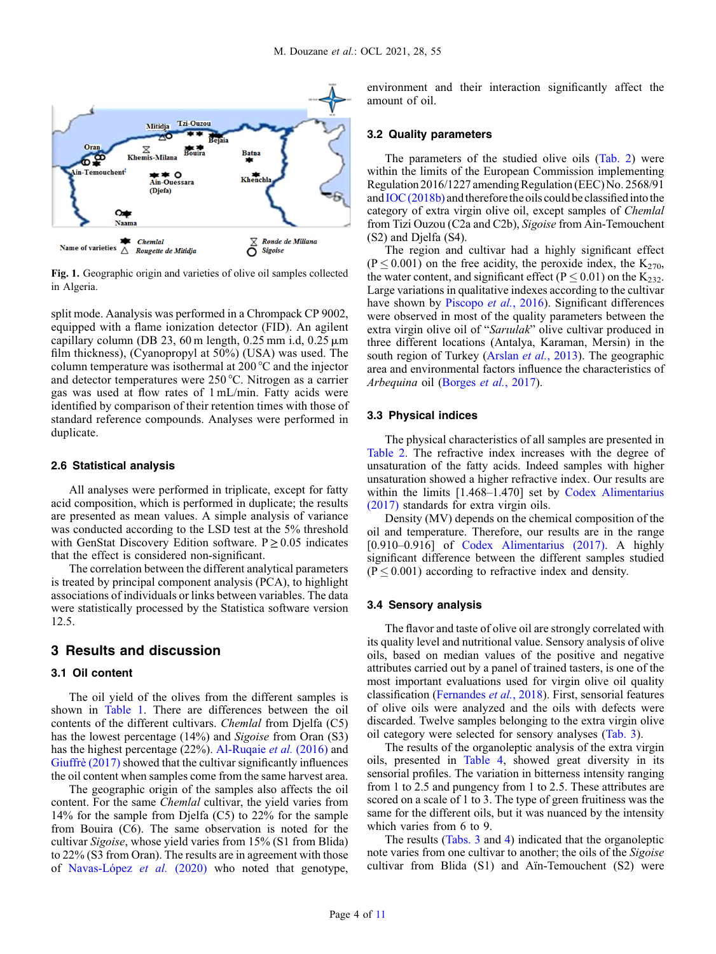<span id="page-3-0"></span>

Fig. 1. Geographic origin and varieties of olive oil samples collected in Algeria.

split mode. Aanalysis was performed in a Chrompack CP 9002, equipped with a flame ionization detector (FID). An agilent capillary column (DB 23, 60 m length,  $0.25$  mm i.d,  $0.25 \mu m$ film thickness), (Cyanopropyl at 50%) (USA) was used. The column temperature was isothermal at 200 °C and the injector and detector temperatures were 250 °C. Nitrogen as a carrier gas was used at flow rates of 1 mL/min. Fatty acids were identified by comparison of their retention times with those of standard reference compounds. Analyses were performed in duplicate.

#### 2.6 Statistical analysis

All analyses were performed in triplicate, except for fatty acid composition, which is performed in duplicate; the results are presented as mean values. A simple analysis of variance was conducted according to the LSD test at the 5% threshold with GenStat Discovery Edition software.  $P \ge 0.05$  indicates that the effect is considered non-significant.

The correlation between the different analytical parameters is treated by principal component analysis (PCA), to highlight associations of individuals or links between variables. The data were statistically processed by the Statistica software version 12.5.

# 3 Results and discussion

#### 3.1 Oil content

The oil yield of the olives from the different samples is shown in [Table 1.](#page-2-0) There are differences between the oil contents of the different cultivars. Chemlal from Djelfa (C5) has the lowest percentage (14%) and *Sigoise* from Oran (S3) has the highest percentage (22%). [Al-Ruqaie](#page-9-0) *et al.* (2016) and [Giuffrè \(2017\)](#page-9-0) showed that the cultivar significantly influences the oil content when samples come from the same harvest area.

The geographic origin of the samples also affects the oil content. For the same *Chemlal* cultivar, the yield varies from 14% for the sample from Djelfa (C5) to 22% for the sample from Bouira (C6). The same observation is noted for the cultivar Sigoise, whose yield varies from 15% (S1 from Blida) to 22% (S3 from Oran). The results are in agreement with those of [Navas-López](#page-10-0) et al. (2020) who noted that genotype,

environment and their interaction significantly affect the amount of oil.

# 3.2 Quality parameters

The parameters of the studied olive oils ([Tab. 2](#page-4-0)) were within the limits of the European Commission implementing Regulation 2016/1227 amendingRegulation (EEC)No. 2568/91 and  $IOC(2018b)$  and therefore the oils could be classified into the category of extra virgin olive oil, except samples of Chemlal from Tizi Ouzou (C2a and C2b), Sigoise from Ain-Temouchent (S2) and Djelfa (S4).

The region and cultivar had a highly significant effect  $(P \le 0.001)$  on the free acidity, the peroxide index, the K<sub>270</sub>, the water content, and significant effect ( $P \le 0.01$ ) on the K<sub>232</sub>. Large variations in qualitative indexes according to the cultivar have shown by [Piscopo](#page-10-0) et al., 2016). Significant differences were observed in most of the quality parameters between the extra virgin olive oil of "Sarıulak" olive cultivar produced in three different locations (Antalya, Karaman, Mersin) in the south region of Turkey [\(Arslan](#page-9-0) *et al.*, 2013). The geographic area and environmental factors influence the characteristics of Arbequina oil ([Borges](#page-9-0) et al., 2017).

#### 3.3 Physical indices

The physical characteristics of all samples are presented in [Table 2.](#page-4-0) The refractive index increases with the degree of unsaturation of the fatty acids. Indeed samples with higher unsaturation showed a higher refractive index. Our results are within the limits [1.468–1.470] set by [Codex Alimentarius](#page-9-0) [\(2017\)](#page-9-0) standards for extra virgin oils.

Density (MV) depends on the chemical composition of the oil and temperature. Therefore, our results are in the range [0.910–0.916] of [Codex Alimentarius \(2017\)](#page-9-0). A highly significant difference between the different samples studied  $(P \le 0.001)$  according to refractive index and density.

# 3.4 Sensory analysis

The flavor and taste of olive oil are strongly correlated with its quality level and nutritional value. Sensory analysis of olive oils, based on median values of the positive and negative attributes carried out by a panel of trained tasters, is one of the most important evaluations used for virgin olive oil quality classification [\(Fernandes](#page-9-0) et al., 2018). First, sensorial features of olive oils were analyzed and the oils with defects were discarded. Twelve samples belonging to the extra virgin olive oil category were selected for sensory analyses [\(Tab. 3\)](#page-4-0).

The results of the organoleptic analysis of the extra virgin oils, presented in [Table 4,](#page-5-0) showed great diversity in its sensorial profiles. The variation in bitterness intensity ranging from 1 to 2.5 and pungency from 1 to 2.5. These attributes are scored on a scale of 1 to 3. The type of green fruitiness was the same for the different oils, but it was nuanced by the intensity which varies from 6 to 9.

The results ([Tabs. 3](#page-4-0) and [4\)](#page-5-0) indicated that the organoleptic note varies from one cultivar to another; the oils of the Sigoise cultivar from Blida (S1) and Aïn-Temouchent (S2) were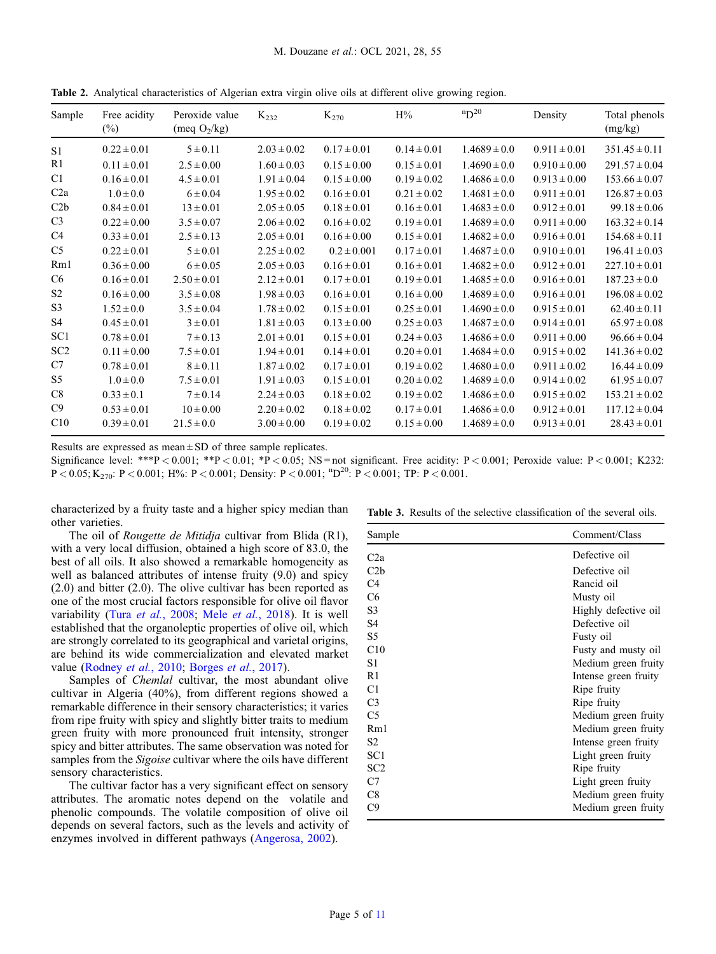| Sample          | Free acidity<br>$(\%)$ | Peroxide value<br>(meq $O_2/kg$ ) | $K_{232}$       | $K_{270}$       | H%              | $nD^{20}$        | Density          | Total phenols<br>(mg/kg) |
|-----------------|------------------------|-----------------------------------|-----------------|-----------------|-----------------|------------------|------------------|--------------------------|
| S <sub>1</sub>  | $0.22 \pm 0.01$        | $5 \pm 0.11$                      | $2.03 \pm 0.02$ | $0.17 \pm 0.01$ | $0.14 \pm 0.01$ | $1.4689 \pm 0.0$ | $0.911 \pm 0.01$ | $351.45 \pm 0.11$        |
| R1              | $0.11 \pm 0.01$        | $2.5 \pm 0.00$                    | $1.60 \pm 0.03$ | $0.15 \pm 0.00$ | $0.15 \pm 0.01$ | $1.4690 \pm 0.0$ | $0.910 \pm 0.00$ | $291.57 \pm 0.04$        |
| C <sub>1</sub>  | $0.16 \pm 0.01$        | $4.5 \pm 0.01$                    | $1.91 \pm 0.04$ | $0.15 \pm 0.00$ | $0.19 \pm 0.02$ | $1.4686 \pm 0.0$ | $0.913 \pm 0.00$ | $153.66 \pm 0.07$        |
| C2a             | $1.0 \pm 0.0$          | $6 \pm 0.04$                      | $1.95 \pm 0.02$ | $0.16 \pm 0.01$ | $0.21 \pm 0.02$ | $1.4681 \pm 0.0$ | $0.911 \pm 0.01$ | $126.87 \pm 0.03$        |
| C2b             | $0.84 \pm 0.01$        | $13 \pm 0.01$                     | $2.05 \pm 0.05$ | $0.18 \pm 0.01$ | $0.16 \pm 0.01$ | $1.4683 \pm 0.0$ | $0.912 \pm 0.01$ | $99.18 \pm 0.06$         |
| C <sub>3</sub>  | $0.22 \pm 0.00$        | $3.5 \pm 0.07$                    | $2.06 \pm 0.02$ | $0.16 \pm 0.02$ | $0.19 \pm 0.01$ | $1.4689 \pm 0.0$ | $0.911 \pm 0.00$ | $163.32 \pm 0.14$        |
| C <sub>4</sub>  | $0.33 \pm 0.01$        | $2.5 \pm 0.13$                    | $2.05 \pm 0.01$ | $0.16 \pm 0.00$ | $0.15 \pm 0.01$ | $1.4682 \pm 0.0$ | $0.916 \pm 0.01$ | $154.68 \pm 0.11$        |
| C <sub>5</sub>  | $0.22 \pm 0.01$        | $5 \pm 0.01$                      | $2.25 \pm 0.02$ | $0.2 \pm 0.001$ | $0.17 \pm 0.01$ | $1.4687 \pm 0.0$ | $0.910 \pm 0.01$ | $196.41 \pm 0.03$        |
| Rm1             | $0.36 \pm 0.00$        | $6 \pm 0.05$                      | $2.05 \pm 0.03$ | $0.16 \pm 0.01$ | $0.16 \pm 0.01$ | $1.4682 \pm 0.0$ | $0.912 \pm 0.01$ | $227.10 \pm 0.01$        |
| C <sub>6</sub>  | $0.16 \pm 0.01$        | $2.50 \pm 0.01$                   | $2.12 \pm 0.01$ | $0.17 \pm 0.01$ | $0.19 \pm 0.01$ | $1.4685 \pm 0.0$ | $0.916 \pm 0.01$ | $187.23 \pm 0.0$         |
| S <sub>2</sub>  | $0.16 \pm 0.00$        | $3.5 \pm 0.08$                    | $1.98 \pm 0.03$ | $0.16 \pm 0.01$ | $0.16 \pm 0.00$ | $1.4689 \pm 0.0$ | $0.916 \pm 0.01$ | $196.08 \pm 0.02$        |
| S3              | $1.52 \pm 0.0$         | $3.5 \pm 0.04$                    | $1.78 \pm 0.02$ | $0.15 \pm 0.01$ | $0.25 \pm 0.01$ | $1.4690 \pm 0.0$ | $0.915 \pm 0.01$ | $62.40 \pm 0.11$         |
| S4              | $0.45 \pm 0.01$        | $3 \pm 0.01$                      | $1.81 \pm 0.03$ | $0.13 \pm 0.00$ | $0.25 \pm 0.03$ | $1.4687 \pm 0.0$ | $0.914 \pm 0.01$ | $65.97 \pm 0.08$         |
| SC <sub>1</sub> | $0.78 \pm 0.01$        | $7 \pm 0.13$                      | $2.01 \pm 0.01$ | $0.15 \pm 0.01$ | $0.24 \pm 0.03$ | $1.4686 \pm 0.0$ | $0.911 \pm 0.00$ | $96.66 \pm 0.04$         |
| SC <sub>2</sub> | $0.11 \pm 0.00$        | $7.5 \pm 0.01$                    | $1.94 \pm 0.01$ | $0.14 \pm 0.01$ | $0.20 \pm 0.01$ | $1.4684 \pm 0.0$ | $0.915 \pm 0.02$ | $141.36 \pm 0.02$        |
| C7              | $0.78 \pm 0.01$        | $8 \pm 0.11$                      | $1.87 \pm 0.02$ | $0.17 \pm 0.01$ | $0.19 \pm 0.02$ | $1.4680 \pm 0.0$ | $0.911 \pm 0.02$ | $16.44 \pm 0.09$         |
| S5              | $1.0 \pm 0.0$          | $7.5 \pm 0.01$                    | $1.91 \pm 0.03$ | $0.15 \pm 0.01$ | $0.20 \pm 0.02$ | $1.4689 \pm 0.0$ | $0.914 \pm 0.02$ | $61.95 \pm 0.07$         |
| C8              | $0.33 \pm 0.1$         | $7 \pm 0.14$                      | $2.24 \pm 0.03$ | $0.18 \pm 0.02$ | $0.19 \pm 0.02$ | $1.4686 \pm 0.0$ | $0.915 \pm 0.02$ | $153.21 \pm 0.02$        |
| C9              | $0.53 \pm 0.01$        | $10 \pm 0.00$                     | $2.20 \pm 0.02$ | $0.18 \pm 0.02$ | $0.17 \pm 0.01$ | $1.4686 \pm 0.0$ | $0.912 \pm 0.01$ | $117.12 \pm 0.04$        |
| C10             | $0.39 \pm 0.01$        | $21.5 \pm 0.0$                    | $3.00 \pm 0.00$ | $0.19 \pm 0.02$ | $0.15 \pm 0.00$ | $1.4689 \pm 0.0$ | $0.913 \pm 0.01$ | $28.43 \pm 0.01$         |

<span id="page-4-0"></span>Table 2. Analytical characteristics of Algerian extra virgin olive oils at different olive growing region.

Results are expressed as mean  $\pm$  SD of three sample replicates.

Significance level: \*\*\*P < 0.001; \*\*P < 0.01; \*P < 0.05; NS = not significant. Free acidity: P < 0.001; Peroxide value: P < 0.001; K232:  $P < 0.05$ ; K<sub>270</sub>:  $P < 0.001$ ; H%:  $P < 0.001$ ; Density:  $P < 0.001$ ;  ${}^{n}D^{20}$ :  $P < 0.001$ ; TP:  $P < 0.001$ .

characterized by a fruity taste and a higher spicy median than other varieties.

The oil of Rougette de Mitidja cultivar from Blida (R1), with a very local diffusion, obtained a high score of 83.0, the best of all oils. It also showed a remarkable homogeneity as well as balanced attributes of intense fruity (9.0) and spicy (2.0) and bitter (2.0). The olive cultivar has been reported as one of the most crucial factors responsible for olive oil flavor variability (Tura et al.[, 2008;](#page-10-0) Mele et al.[, 2018\)](#page-10-0). It is well established that the organoleptic properties of olive oil, which are strongly correlated to its geographical and varietal origins, are behind its wide commercialization and elevated market value ([Rodney](#page-10-0) et al., 2010; [Borges](#page-9-0) et al., 2017).

Samples of Chemlal cultivar, the most abundant olive cultivar in Algeria (40%), from different regions showed a remarkable difference in their sensory characteristics; it varies from ripe fruity with spicy and slightly bitter traits to medium green fruity with more pronounced fruit intensity, stronger spicy and bitter attributes. The same observation was noted for samples from the *Sigoise* cultivar where the oils have different sensory characteristics.

The cultivar factor has a very significant effect on sensory attributes. The aromatic notes depend on the volatile and phenolic compounds. The volatile composition of olive oil depends on several factors, such as the levels and activity of enzymes involved in different pathways ([Angerosa, 2002\)](#page-9-0).

|  |  | <b>Table 3.</b> Results of the selective classification of the several oils. |  |  |
|--|--|------------------------------------------------------------------------------|--|--|
|  |  |                                                                              |  |  |

| Sample           | Comment/Class        |
|------------------|----------------------|
| C <sub>2</sub> a | Defective oil        |
| C2b              | Defective oil        |
| C <sub>4</sub>   | Rancid oil           |
| C <sub>6</sub>   | Musty oil            |
| S <sub>3</sub>   | Highly defective oil |
| S <sub>4</sub>   | Defective oil        |
| S5               | Fusty oil            |
| C10              | Fusty and musty oil  |
| S1               | Medium green fruity  |
| R1               | Intense green fruity |
| C1               | Ripe fruity          |
| C <sub>3</sub>   | Ripe fruity          |
| C <sub>5</sub>   | Medium green fruity  |
| Rm1              | Medium green fruity  |
| S <sub>2</sub>   | Intense green fruity |
| SC <sub>1</sub>  | Light green fruity   |
| SC <sub>2</sub>  | Ripe fruity          |
| C7               | Light green fruity   |
| C8               | Medium green fruity  |
| C9               | Medium green fruity  |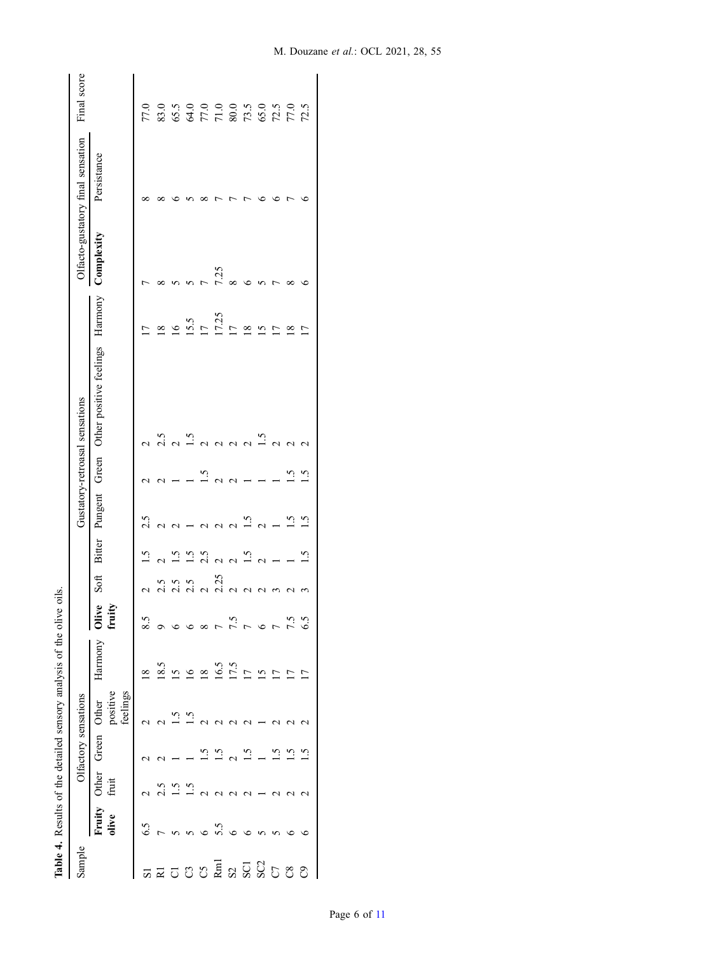<span id="page-5-0"></span>

|                    |                 |                  |                |                               | Table 4. Results of the detailed sensory analysis of the olive | oils.                                    |         |                          |                   |            |                                 |                          |             |                                   |                                                         |
|--------------------|-----------------|------------------|----------------|-------------------------------|----------------------------------------------------------------|------------------------------------------|---------|--------------------------|-------------------|------------|---------------------------------|--------------------------|-------------|-----------------------------------|---------------------------------------------------------|
| Sample             |                 |                  |                | Olfactory sensations          |                                                                |                                          |         |                          |                   |            | Gustatory-retroasal sensations  |                          |             | Olfacto-gustatory final sensation | Final score                                             |
|                    | Fruity<br>olive | Other<br>fruit   | Green          | positive<br>feelings<br>Other | Harmony                                                        | $\bullet$<br>Þ<br>$\frac{1}{2}$<br>fruit | Soft    | Bitter                   | Pungent           | Green      | Other positive feelings Harmony |                          | Complexity  | Persistance                       |                                                         |
| 51                 | 6.5             |                  |                | c                             | $\frac{8}{18}$                                                 | 8.5                                      | c       | $\ddot{1}$               | 2.5               |            | $\mathbf 2$                     | Ē                        | ↽           | ∞                                 | 77.0                                                    |
|                    |                 | 2.5              |                |                               | 18.5                                                           |                                          |         | ¢<br>Ń                   | ċ<br>↘            | c<br>J     | 2.5                             | $\frac{8}{18}$           | ∝           | $\infty$                          | 83.0                                                    |
| $\overline{\circ}$ |                 | <u>ت</u>         |                | <u>്</u>                      | $\overline{15}$                                                |                                          | ى:<br>2 | <u>ي</u>                 |                   |            |                                 | $\overline{16}$          |             |                                   |                                                         |
| 35                 | 5               | $\frac{5}{10}$   |                | <u>ي</u><br>1                 | $\overline{16}$                                                |                                          | 2.5     | $\tilde{5}$              |                   |            | $\frac{5}{10}$                  | 15.5                     |             |                                   |                                                         |
|                    |                 | ¢                | $\ddot{\cdot}$ |                               | $\overline{18}$                                                |                                          | ¢       | 2.5                      |                   | $\ddot{.}$ |                                 | $\overline{17}$          |             |                                   |                                                         |
| R <sub>m</sub>     |                 | c                | $\tilde{c}$    |                               | 16.5                                                           |                                          | 2.25    | $\overline{\mathcal{C}}$ | ⇃                 | 4          | 1                               | 17.25                    | 7.25        |                                   | $65.5$ $65.0$ $0.0$ $0.0$ $0.0$ $0.0$ $0.0$ $0.0$ $0.0$ |
| S2                 |                 |                  | ¢              |                               | 17.5                                                           | 51                                       |         |                          | Ċ                 | ¢<br>⇃     | $\sim$                          | $\overline{\phantom{0}}$ |             |                                   |                                                         |
| SCI                |                 |                  |                |                               | $\overline{11}$                                                |                                          |         | $\overline{1.5}$         | <u>ي</u><br>ا     |            |                                 | $\frac{8}{2}$            |             | t                                 |                                                         |
| SC2                |                 |                  |                |                               | $\overline{15}$                                                |                                          |         | $\mathcal{L}$            | $\mathbf{\Omega}$ |            | $\ddot{5}$                      | $\overline{6}$           |             |                                   |                                                         |
|                    |                 |                  | $\ddot{5}$     |                               | $\frac{1}{2}$                                                  |                                          |         |                          |                   |            | C                               | ŗ                        |             | ৩                                 | $72.5$<br>$77.0$                                        |
| $\rm{CS}$          |                 |                  | 1.5            | 1                             | Ē                                                              | 7.5                                      |         |                          | ن<br>م            | <u>ي ا</u> |                                 | $\frac{8}{18}$           | $_{\infty}$ | t                                 |                                                         |
| $\mathcal{O}$      | G               | $\mathrel{\sim}$ | ن<br>ا         | $\mathrel{\sim}$              | n                                                              | 6.5                                      |         | ب<br>آ                   | ن.<br>أ           | $\ddot{.}$ |                                 | $\overline{1}$           | ٥           | ء                                 | 72.5                                                    |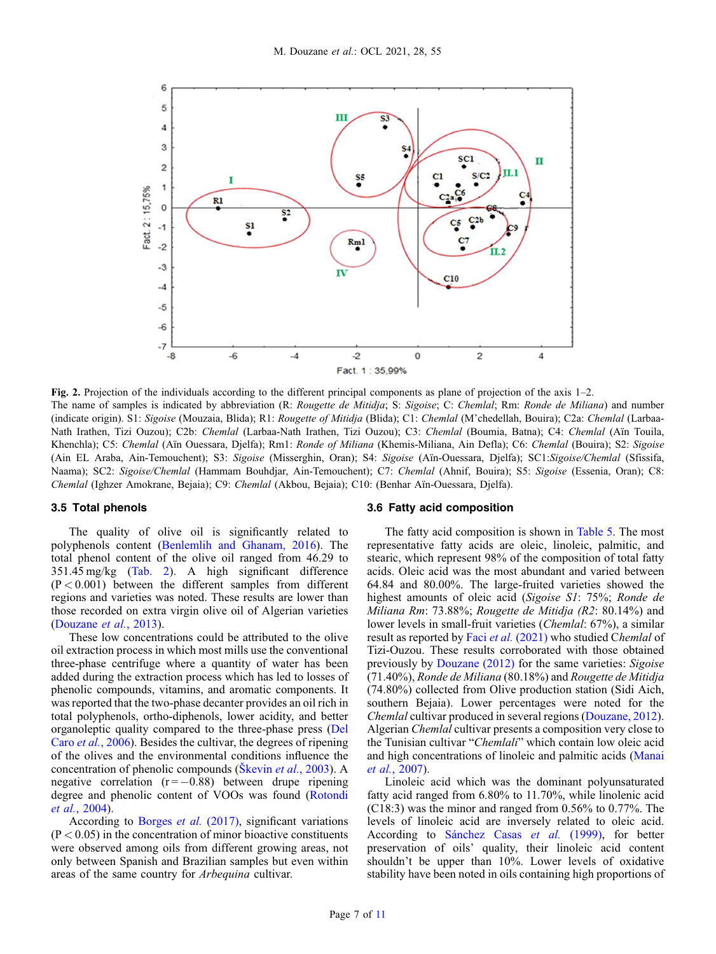<span id="page-6-0"></span>

Fig. 2. Projection of the individuals according to the different principal components as plane of projection of the axis 1–2. The name of samples is indicated by abbreviation (R: Rougette de Mitidja; S: Sigoise; C: Chemlal; Rm: Ronde de Miliana) and number (indicate origin). S1: Sigoise (Mouzaia, Blida); R1: Rougette of Mitidja (Blida); C1: Chemlal (M'chedellah, Bouira); C2a: Chemlal (Larbaa-Nath Irathen, Tizi Ouzou); C2b: Chemlal (Larbaa-Nath Irathen, Tizi Ouzou); C3: Chemlal (Boumia, Batna); C4: Chemlal (Aïn Touila, Khenchla); C5: Chemlal (Aïn Ouessara, Djelfa); Rm1: Ronde of Miliana (Khemis-Miliana, Ain Defla); C6: Chemlal (Bouira); S2: Sigoise (Ain EL Araba, Ain-Temouchent); S3: Sigoise (Misserghin, Oran); S4: Sigoise (Aïn-Ouessara, Djelfa); SC1:Sigoise/Chemlal (Sfissifa, Naama); SC2: Sigoise/Chemlal (Hammam Bouhdjar, Ain-Temouchent); C7: Chemlal (Ahnif, Bouira); S5: Sigoise (Essenia, Oran); C8: Chemlal (Ighzer Amokrane, Bejaia); C9: Chemlal (Akbou, Bejaia); C10: (Benhar Aïn-Ouessara, Djelfa).

# 3.5 Total phenols

The quality of olive oil is significantly related to polyphenols content ([Benlemlih and Ghanam, 2016](#page-9-0)). The total phenol content of the olive oil ranged from 46.29 to 351.45 mg/kg [\(Tab. 2\)](#page-4-0). A high significant difference  $(P < 0.001)$  between the different samples from different regions and varieties was noted. These results are lower than those recorded on extra virgin olive oil of Algerian varieties ([Douzane](#page-9-0) et al., 2013).

These low concentrations could be attributed to the olive oil extraction process in which most mills use the conventional three-phase centrifuge where a quantity of water has been added during the extraction process which has led to losses of phenolic compounds, vitamins, and aromatic components. It was reported that the two-phase decanter provides an oil rich in total polyphenols, ortho-diphenols, lower acidity, and better organoleptic quality compared to the three-phase press [\(Del](#page-9-0) Caro et al.[, 2006](#page-9-0)). Besides the cultivar, the degrees of ripening of the olives and the environmental conditions influence the concentration of phenolic compounds (Škevin et al.[, 2003](#page-10-0)). A negative correlation  $(r = -0.88)$  between drupe ripening degree and phenolic content of VOOs was found ([Rotondi](#page-10-0) et al.[, 2004](#page-10-0)).

According to [Borges](#page-9-0) et al. (2017), significant variations  $(P < 0.05)$  in the concentration of minor bioactive constituents were observed among oils from different growing areas, not only between Spanish and Brazilian samples but even within areas of the same country for Arbequina cultivar.

# 3.6 Fatty acid composition

The fatty acid composition is shown in [Table 5.](#page-8-0) The most representative fatty acids are oleic, linoleic, palmitic, and stearic, which represent 98% of the composition of total fatty acids. Oleic acid was the most abundant and varied between 64.84 and 80.00%. The large-fruited varieties showed the highest amounts of oleic acid (Sigoise S1: 75%; Ronde de Miliana Rm: 73.88%; Rougette de Mitidja (R2: 80.14%) and lower levels in small-fruit varieties (Chemlal: 67%), a similar result as reported by Faci et al. [\(2021\)](#page-9-0) who studied Chemlal of Tizi-Ouzou. These results corroborated with those obtained previously by [Douzane \(2012\)](#page-9-0) for the same varieties: Sigoise (71.40%), Ronde de Miliana (80.18%) and Rougette de Mitidja (74.80%) collected from Olive production station (Sidi Aich, southern Bejaia). Lower percentages were noted for the Chemlal cultivar produced in several regions [\(Douzane, 2012\)](#page-9-0). Algerian Chemlal cultivar presents a composition very close to the Tunisian cultivar "Chemlali" which contain low oleic acid and high concentrations of linoleic and palmitic acids [\(Manai](#page-10-0) et al.[, 2007\)](#page-10-0).

Linoleic acid which was the dominant polyunsaturated fatty acid ranged from 6.80% to 11.70%, while linolenic acid (C18:3) was the minor and ranged from 0.56% to 0.77%. The levels of linoleic acid are inversely related to oleic acid. According to [Sánchez Casas](#page-10-0) et al. (1999), for better preservation of oils' quality, their linoleic acid content shouldn't be upper than 10%. Lower levels of oxidative stability have been noted in oils containing high proportions of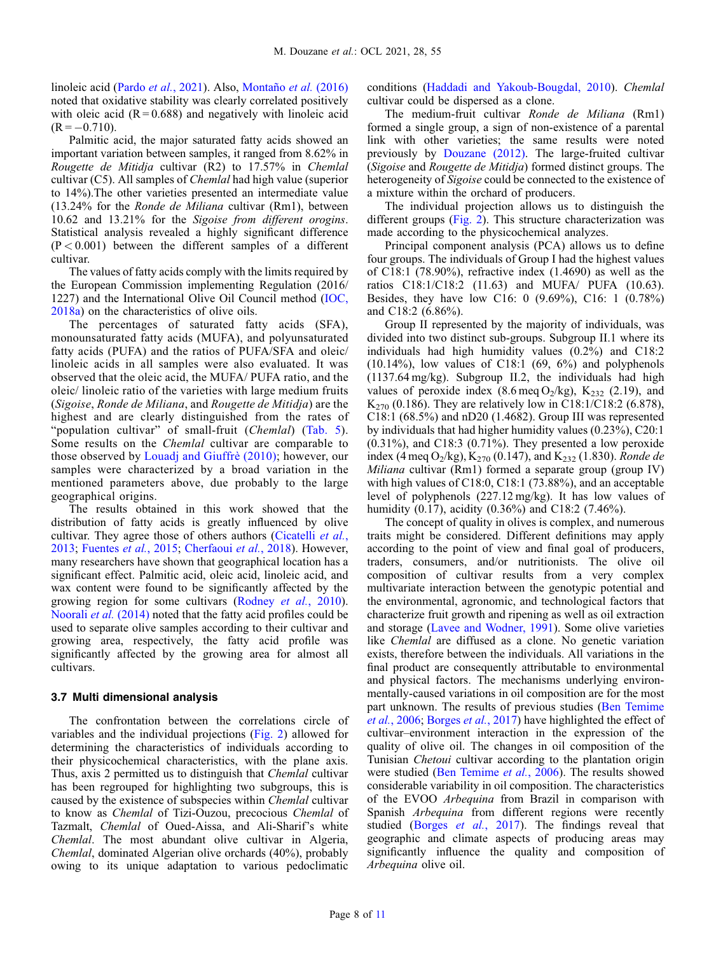linoleic acid (Pardo et al.[, 2021](#page-10-0)). Also, [Montaño](#page-10-0) et al. (2016) noted that oxidative stability was clearly correlated positively with oleic acid  $(R = 0.688)$  and negatively with linoleic acid  $(R = -0.710)$ .

Palmitic acid, the major saturated fatty acids showed an important variation between samples, it ranged from 8.62% in Rougette de Mitidja cultivar (R2) to 17.57% in Chemlal cultivar (C5). All samples of Chemlal had high value (superior to 14%).The other varieties presented an intermediate value (13.24% for the Ronde de Miliana cultivar (Rm1), between 10.62 and 13.21% for the Sigoise from different orogins. Statistical analysis revealed a highly significant difference  $(P < 0.001)$  between the different samples of a different cultivar.

The values of fatty acids comply with the limits required by the European Commission implementing Regulation (2016/ 1227) and the International Olive Oil Council method [\(IOC,](#page-10-0) [2018a\)](#page-10-0) on the characteristics of olive oils.

The percentages of saturated fatty acids (SFA), monounsaturated fatty acids (MUFA), and polyunsaturated fatty acids (PUFA) and the ratios of PUFA/SFA and oleic/ linoleic acids in all samples were also evaluated. It was observed that the oleic acid, the MUFA/ PUFA ratio, and the oleic/ linoleic ratio of the varieties with large medium fruits (Sigoise, Ronde de Miliana, and Rougette de Mitidja) are the highest and are clearly distinguished from the rates of "population cultivar" of small-fruit (Chemlal) ([Tab. 5\)](#page-8-0). Some results on the Chemlal cultivar are comparable to those observed by [Louadj and Giuffrè \(2010\)](#page-10-0); however, our samples were characterized by a broad variation in the mentioned parameters above, due probably to the large geographical origins.

The results obtained in this work showed that the distribution of fatty acids is greatly influenced by olive cultivar. They agree those of others authors ([Cicatelli](#page-9-0) *et al.*, [2013](#page-9-0); [Fuentes](#page-9-0) et al., 2015; [Cherfaoui](#page-9-0) et al., 2018). However, many researchers have shown that geographical location has a significant effect. Palmitic acid, oleic acid, linoleic acid, and wax content were found to be significantly affected by the growing region for some cultivars ([Rodney](#page-10-0) et al., 2010). [Noorali](#page-10-0) et al. (2014) noted that the fatty acid profiles could be used to separate olive samples according to their cultivar and growing area, respectively, the fatty acid profile was significantly affected by the growing area for almost all cultivars.

#### 3.7 Multi dimensional analysis

The confrontation between the correlations circle of variables and the individual projections ([Fig. 2\)](#page-6-0) allowed for determining the characteristics of individuals according to their physicochemical characteristics, with the plane axis. Thus, axis 2 permitted us to distinguish that Chemlal cultivar has been regrouped for highlighting two subgroups, this is caused by the existence of subspecies within Chemlal cultivar to know as Chemlal of Tizi-Ouzou, precocious Chemlal of Tazmalt, Chemlal of Oued-Aissa, and Ali-Sharif's white Chemlal. The most abundant olive cultivar in Algeria, Chemlal, dominated Algerian olive orchards (40%), probably owing to its unique adaptation to various pedoclimatic

conditions [\(Haddadi and Yakoub-Bougdal, 2010](#page-9-0)). Chemlal cultivar could be dispersed as a clone.

The medium-fruit cultivar Ronde de Miliana (Rm1) formed a single group, a sign of non-existence of a parental link with other varieties; the same results were noted previously by [Douzane \(2012\)](#page-9-0). The large-fruited cultivar (Sigoise and Rougette de Mitidja) formed distinct groups. The heterogeneity of *Sigoise* could be connected to the existence of a mixture within the orchard of producers.

The individual projection allows us to distinguish the different groups [\(Fig. 2](#page-6-0)). This structure characterization was made according to the physicochemical analyzes.

Principal component analysis (PCA) allows us to define four groups. The individuals of Group I had the highest values of C18:1 (78.90%), refractive index (1.4690) as well as the ratios C18:1/C18:2 (11.63) and MUFA/ PUFA (10.63). Besides, they have low C16: 0 (9.69%), C16: 1 (0.78%) and C18:2 (6.86%).

Group II represented by the majority of individuals, was divided into two distinct sub-groups. Subgroup II.1 where its individuals had high humidity values (0.2%) and C18:2  $(10.14\%)$ , low values of C18:1  $(69, 6\%)$  and polyphenols (1137.64 mg/kg). Subgroup II.2, the individuals had high values of peroxide index  $(8.6 \text{ meq O}_2/\text{kg})$ ,  $K_{232}$   $(2.19)$ , and  $K_{270}$  (0.186). They are relatively low in C18:1/C18:2 (6.878), C18:1 (68.5%) and nD20 (1.4682). Group III was represented by individuals that had higher humidity values (0.23%), C20:1 (0.31%), and C18:3 (0.71%). They presented a low peroxide index (4 meq O<sub>2</sub>/kg), K<sub>270</sub> (0.147), and K<sub>232</sub> (1.830). Ronde de Miliana cultivar (Rm1) formed a separate group (group IV) with high values of C18:0, C18:1 (73.88%), and an acceptable level of polyphenols (227.12 mg/kg). It has low values of humidity (0.17), acidity (0.36%) and C18:2 (7.46%).

The concept of quality in olives is complex, and numerous traits might be considered. Different definitions may apply according to the point of view and final goal of producers, traders, consumers, and/or nutritionists. The olive oil composition of cultivar results from a very complex multivariate interaction between the genotypic potential and the environmental, agronomic, and technological factors that characterize fruit growth and ripening as well as oil extraction and storage ([Lavee and Wodner, 1991\)](#page-10-0). Some olive varieties like Chemlal are diffused as a clone. No genetic variation exists, therefore between the individuals. All variations in the final product are consequently attributable to environmental and physical factors. The mechanisms underlying environmentally-caused variations in oil composition are for the most part unknown. The results of previous studies ([Ben Temime](#page-9-0) et al.[, 2006](#page-9-0); [Borges](#page-9-0) et al., 2017) have highlighted the effect of cultivar–environment interaction in the expression of the quality of olive oil. The changes in oil composition of the Tunisian Chetoui cultivar according to the plantation origin were studied [\(Ben Temime](#page-9-0) et al., 2006). The results showed considerable variability in oil composition. The characteristics of the EVOO Arbequina from Brazil in comparison with Spanish Arbequina from different regions were recently studied (Borges et al.[, 2017\)](#page-9-0). The findings reveal that geographic and climate aspects of producing areas may significantly influence the quality and composition of Arbequina olive oil.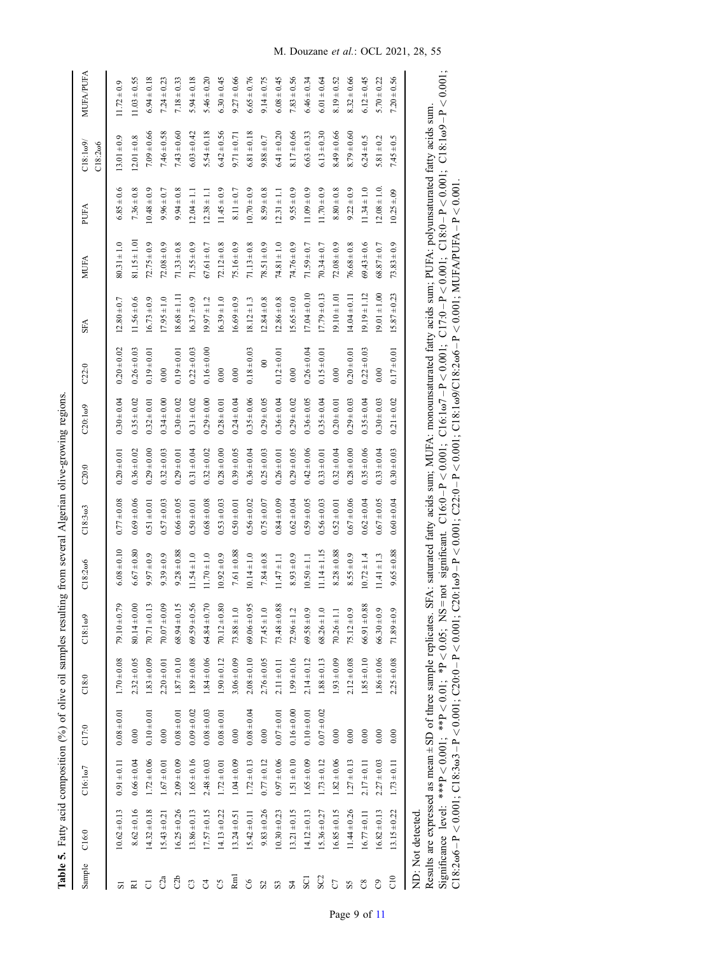Table 5. Fatty acid composition  $(\%)$  of olive oil samples resulting from several Algerian olive-growing regions. Table 5. Fatty acid composition (%) of olive oil samples resulting from several Algerian olive-growing regions.

<span id="page-8-0"></span>

| Sample                | C16:0                                                                                                                                                                                                                                                         | $C16:1\omega$ 7 | C17:0           | C18:0           | $C18:1\omega9$   | $C18:2\omega$ 6  | $C18:3\omega3$  | C20:0           | $C20:1\omega9$  | C22:0           | <b>SFA</b>       | <b>MUFA</b>      | PUFA            | $C18:1\omega9$<br>$C18:2\omega 6$                                                                | MUFA/PUFA        |
|-----------------------|---------------------------------------------------------------------------------------------------------------------------------------------------------------------------------------------------------------------------------------------------------------|-----------------|-----------------|-----------------|------------------|------------------|-----------------|-----------------|-----------------|-----------------|------------------|------------------|-----------------|--------------------------------------------------------------------------------------------------|------------------|
| 51                    | $10.62 \pm 0.13$                                                                                                                                                                                                                                              | $0.91 \pm 0.11$ | $0.08 \pm 0.01$ | $1.70 \pm 0.08$ | $79.10 \pm 0.79$ | $6.08 \pm 0.10$  | $0.77 \pm 0.08$ | $0.20 \pm 0.01$ | $0.30 \pm 0.04$ | $0.20 + 0.02$   | $12.80 \pm 0.7$  | $80.31 \pm 1.0$  | $6.85 \pm 0.6$  | $13.01 \pm 0.9$                                                                                  | $1.72 \pm 0.9$   |
| ≅                     | $8.62 \pm 0.16$                                                                                                                                                                                                                                               | $0.66 \pm 0.04$ | 0.00            | $2.32 \pm 0.05$ | $80.14 \pm 0.00$ | $6.67 \pm 0.80$  | $0.69 \pm 0.06$ | $0.36 \pm 0.02$ | $0.35 \pm 0.02$ | $0.26 \pm 0.03$ | $1.56 \pm 0.6$   | $81.15 \pm 1.01$ | $7.36 \pm 0.8$  | $12.01 \pm 0.8$                                                                                  | $11.03 \pm 0.55$ |
| $\overline{C}$        | $14.32 \pm 0.18$                                                                                                                                                                                                                                              | $1.72 \pm 0.06$ | $0.10 \pm 0.01$ | $1.83 \pm 0.09$ | $70.71 \pm 0.13$ | $9.97 \pm 0.9$   | $0.51 \pm 0.01$ | $0.29 \pm 0.00$ | $0.32 \pm 0.01$ | $0.19 \pm 0.01$ | $16.73 \pm 0.9$  | $72.75 \pm 0.9$  | $0.48 \pm 0.9$  | $7.09 \pm 0.66$                                                                                  | $6.94 \pm 0.18$  |
| C2a                   | $15.43 \pm 0.21$                                                                                                                                                                                                                                              | $1.67 \pm 0.01$ | $0.00$          | $2.20 \pm 0.01$ | $70.07 + 0.09$   | $9.39 \pm 0.9$   | $0.57 \pm 0.03$ | $0.32 \pm 0.03$ | $0.34 \pm 0.00$ | 0.00            | $7.95 \pm 1.0$   | $72.08 \pm 0.9$  | $9.96 \pm 0.7$  | $7.46 \pm 0.58$                                                                                  | $7.24 \pm 0.23$  |
| C <sub>2</sub> b      | $16.25 \pm 0.26$                                                                                                                                                                                                                                              | $2.09 \pm 0.09$ | $0.08 \pm 0.01$ | $1.87 \pm 0.10$ | $68.94 \pm 0.15$ | $9.28 \pm 0.88$  | $0.66 \pm 0.05$ | $0.29 \pm 0.01$ | $0.30 \pm 0.02$ | $0.19 \pm 0.01$ | $18.68 \pm 1.11$ | $71.33 \pm 0.8$  | $9.94 \pm 0.8$  | $7.43 \pm 0.60$                                                                                  | $7.18 \pm 0.33$  |
| C                     | $13.86 \pm 0.13$                                                                                                                                                                                                                                              | $1.65 \pm 0.16$ | $0.09 \pm 0.02$ | $1.89 \pm 0.08$ | $69.59 \pm 0.56$ | $11.54 \pm 1.0$  | $0.50 \pm 0.01$ | $0.31 \pm 0.04$ | $0.31 \pm 0.02$ | $0.22 \pm 0.03$ | $16.37 \pm 0.9$  | $71.55 \pm 0.9$  | $2.04 \pm 1.1$  | $6.03 \pm 0.42$                                                                                  | $5.94 \pm 0.18$  |
| $\mathcal{C}^4$       | $17.57 \pm 0.15$                                                                                                                                                                                                                                              | $2.48 \pm 0.03$ | $0.08 \pm 0.03$ | $1.84 \pm 0.06$ | $64.84 \pm 0.70$ | $11.70 \pm 1.0$  | $0.68 \pm 0.08$ | $0.32 \pm 0.02$ | $0.29 \pm 0.00$ | $0.16 \pm 0.00$ | $19.97 \pm 1.2$  | $67.61 \pm 0.7$  | $2.38 \pm 1.1$  | $5.54 \pm 0.18$                                                                                  | $5.46 \pm 0.20$  |
| C5                    | $14.13 \pm 0.22$                                                                                                                                                                                                                                              | $1.72 \pm 0.01$ | $0.08 + 0.01$   | $1.90 \pm 0.12$ | $70.12 \pm 0.80$ | $10.92 \pm 0.9$  | $0.53 \pm 0.03$ | $0.28 \pm 0.00$ | $0.28 \pm 0.01$ | 0.00            | $16.39 \pm 1.0$  | $72.12 \pm 0.8$  | $1.45 \pm 0.9$  | $6.42 \pm 0.56$                                                                                  | $5.30 \pm 0.45$  |
| R <sub>m</sub>        | $13.24 \pm 0.51$                                                                                                                                                                                                                                              | $1.04 \pm 0.09$ | 0.00            | $3.06 \pm 0.09$ | $73.88 \pm 1.0$  | $7.61 \pm 0.88$  | $0.50 \pm 0.01$ | $0.39 \pm 0.05$ | $0.24 \pm 0.04$ | 0.00            | $6.69 \pm 0.9$   | $75.16 \pm 0.9$  | $8.11 \pm 0.7$  | $9.71 \pm 0.71$                                                                                  | $9.27 \pm 0.66$  |
| C6                    | $15.42 \pm 0.11$                                                                                                                                                                                                                                              | $1.72 \pm 0.13$ | $0.08 + 0.04$   | $2.08 + 0.10$   | $69.06 \pm 0.95$ | $10.14 \pm 1.0$  | $0.56 \pm 0.02$ | $0.36 \pm 0.04$ | $0.35 \pm 0.06$ | $0.18 \pm 0.03$ | $18.12 \pm 1.3$  | $71.13 \pm 0.8$  | $0.70 \pm 0.9$  | $6.81 \pm 0.18$                                                                                  | $6.65 \pm 0.76$  |
| S <sub>2</sub>        | $9.83 \pm 0.26$                                                                                                                                                                                                                                               | $0.77 \pm 0.12$ | 0.00            | $2.76 \pm 0.05$ | $77.45 \pm 1.0$  | $7.84 \pm 0.8$   | $0.75 \pm 0.07$ | $0.25 \pm 0.03$ | $0.29 \pm 0.05$ | $\infty$        | $2.84 \pm 0.8$   | $78.51 \pm 0.9$  | $8.59 \pm 0.8$  | $9.88 \pm 0.7$                                                                                   | $9.14 \pm 0.75$  |
| $\mathbf{S}$          | $10.30 \pm 0.23$                                                                                                                                                                                                                                              | $0.97 \pm 0.06$ | $0.07 \pm 0.01$ | $2.11 \pm 0.11$ | $73.48 \pm 0.88$ | $11.47 \pm 1.1$  | $0.84 \pm 0.09$ | $0.26 \pm 0.01$ | $0.36 \pm 0.04$ | $0.12 \pm 0.01$ | $12.86 \pm 0.8$  | $74.81 \pm 1.0$  | $12.31 \pm 1.1$ | $6.41 \pm 0.20$                                                                                  | $6.08 \pm 0.45$  |
| S <sub>4</sub>        | $13.21 \pm 0.15$                                                                                                                                                                                                                                              | $1.51 \pm 0.10$ | $0.16 \pm 0.00$ | $1.99 \pm 0.16$ | $72.96 \pm 1.2$  | $8.93 \pm 0.9$   | $0.62 \pm 0.04$ | $0.29 \pm 0.05$ | $0.29 \pm 0.02$ | 0.00            | $5.65 \pm 0.0$   | $74.76 \pm 0.9$  | $9.55 \pm 0.9$  | $8.17 \pm 0.66$                                                                                  | $7.83 \pm 0.56$  |
| SCI                   | $14.12 \pm 0.13$                                                                                                                                                                                                                                              | $1.65 \pm 0.09$ | $0.10 + 0.01$   | $2.14 \pm 0.12$ | $69.58 \pm 0.9$  | $10.50 \pm 1.1$  | $0.59 \pm 0.05$ | $0.42 \pm 0.06$ | $0.36 \pm 0.05$ | $0.26 \pm 0.04$ | $17.04 \pm 0.10$ | $71.59 \pm 0.7$  | $1.09 \pm 0.9$  | $6.63 \pm 0.33$                                                                                  | $6.46 \pm 0.34$  |
| SC <sub>2</sub>       | $15.36 \pm 0.27$                                                                                                                                                                                                                                              | $1.73 \pm 0.12$ | $0.07 \pm 0.02$ | $1.88 \pm 0.13$ | $68.26 \pm 1.0$  | $11.14 \pm 1.15$ | $0.56 \pm 0.03$ | $0.33 \pm 0.01$ | $0.35 \pm 0.04$ | $0.15 \pm 0.01$ | $17.79 \pm 0.13$ | $70.34 \pm 0.7$  | $1.70 \pm 0.9$  | $6.13 \pm 0.30$                                                                                  | $6.01 \pm 0.64$  |
| C <sub>1</sub>        | $16.85 \pm 0.15$                                                                                                                                                                                                                                              | $1.82 \pm 0.06$ | 0.00            | $0.03 \pm 0.09$ | $70.26 \pm 1.1$  | $8.28 + 0.88$    | $0.52 \pm 0.01$ | $0.32 \pm 0.04$ | $0.20 \pm 0.01$ | 0.00            | $9.10 \pm 1.01$  | $72.08 \pm 0.9$  | $8.80 \pm 0.8$  | $8.49 \pm 0.66$                                                                                  | $8.19 \pm 0.52$  |
| SS                    | $11.44 \pm 0.26$                                                                                                                                                                                                                                              | $1.27 \pm 0.13$ | 0.00            | $2.12 \pm 0.08$ | $75.12 \pm 0.9$  | $8.55 \pm 0.9$   | $0.67 + 0.06$   | $0.28 \pm 0.00$ | $0.29 \pm 0.03$ | $0.20 \pm 0.01$ | $14.04 \pm 0.11$ | $76.68 \pm 0.8$  | $9.22 \pm 0.9$  | $8.79 \pm 0.60$                                                                                  | $3.32 \pm 0.66$  |
| $\infty$              | $16.77 \pm 0.11$                                                                                                                                                                                                                                              | $2.17 \pm 0.11$ | 0.00            | $1.85 \pm 0.10$ | $66.91 \pm 0.88$ | $10.72 \pm 1.4$  | $0.62 \pm 0.04$ | $0.35 \pm 0.06$ | $0.35 \pm 0.04$ | $0.22 \pm 0.03$ | $19.19 \pm 1.12$ | $69.43 \pm 0.6$  | $1.34 \pm 1.0$  | $6.24 \pm 0.5$                                                                                   | $6.12 \pm 0.45$  |
| $\mathcal{C}^{\circ}$ | $16.82 \pm 0.13$                                                                                                                                                                                                                                              | $2.27 \pm 0.03$ | 0.00            | $1.86 \pm 0.06$ | $66.30 \pm 0.9$  | $1.41 \pm 1.3$   | $0.67 \pm 0.05$ | $0.33 \pm 0.04$ | $0.30 \pm 0.03$ | 0.00            | $19.01 \pm 1.00$ | $68.87 \pm 0.7$  | $12.08 \pm 1.0$ | $5.81 \pm 0.2$                                                                                   | $5.70 \pm 0.22$  |
| $\frac{1}{2}$         | $13.15 \pm 0.22$                                                                                                                                                                                                                                              | $1.73 \pm 0.11$ | 0.00            | $2.25 \pm 0.08$ | $71.89 \pm 0.9$  | $9.65 \pm 0.88$  | $0.60 \pm 0.04$ | $0.30 \pm 0.03$ | $0.21 \pm 0.02$ | $0.17 \pm 0.01$ | $15.87 \pm 0.23$ | $73.83 \pm 0.9$  | $10.25 \pm .09$ | $7.45 \pm 0.5$                                                                                   | $7.20 \pm 0.56$  |
|                       | Results are expressed as mean±SD of three sample replicates. SFA: saturated fatty acids sum; MUFA: monounsaturated fatty acids sum; PUFA: polyunsaturated fatty acids sum<br>Significance level: ***P < 0.001; **P < 0.01; *P < 0.05; NS<br>ND: Not detected. |                 |                 |                 |                  |                  |                 |                 |                 |                 |                  |                  |                 | = not significant. C16:0-P<0.01; C16:1ω7-P<0.001; C17:0-P<0.001; C18:0-P<0.001; C18:1ω9-P<0.001; |                  |
|                       |                                                                                                                                                                                                                                                               |                 |                 |                 |                  |                  |                 |                 |                 |                 |                  |                  |                 |                                                                                                  |                  |

C18:2w6 – P < 0.001; C18:3w3 – P < 0.001; C20:0 – P < 0.001; C20:1 ω9 – P < 0.001; C20:0 – P < 0.001; C20:0 – P < 0.001; C20:0 – P < 0.001; C20:0 – P < 0.001; C20:0 – P < 0.001; C20:0 – P < 0.001; C20:0 – P < 0.001; C20:0

 $C18:2\omega 6 - P < 0.001$ ;  $C18:3\omega 3 - P < 0.001$ ;  $C20:0 - P < 0.001$ ;  $C20:1\omega 9 - P < 0.001$ ;  $C22:0 - P < 0.001$ ;  $C18:1\omega 9/C18:2\omega 6 - P < 0.001$ ;  $MUFA/PUFA - P < 0.001$ .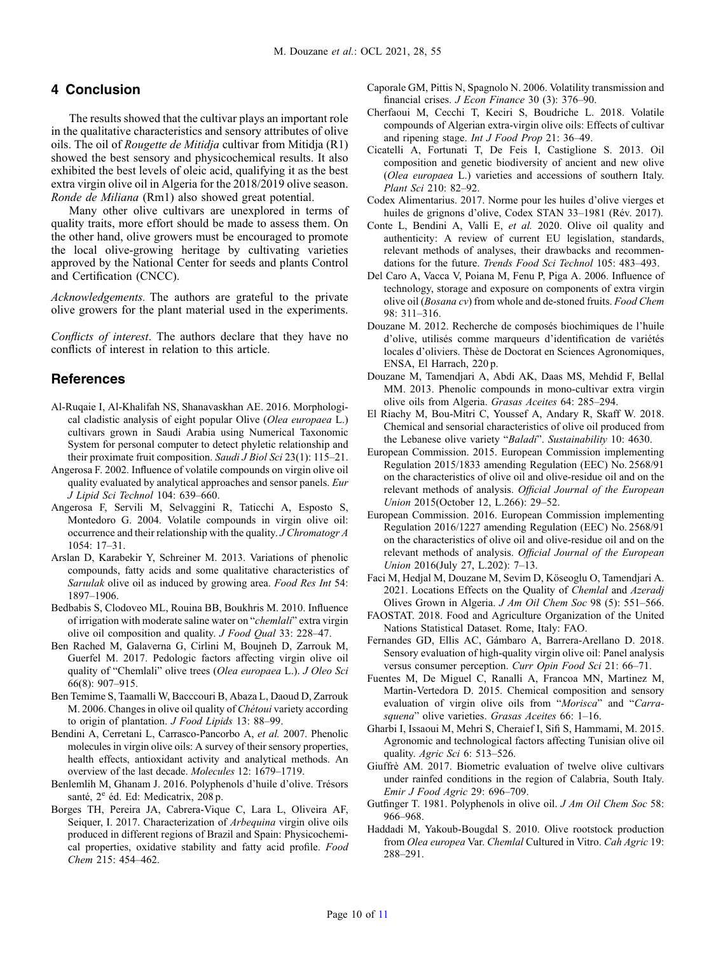# <span id="page-9-0"></span>4 Conclusion

The results showed that the cultivar plays an important role in the qualitative characteristics and sensory attributes of olive oils. The oil of Rougette de Mitidja cultivar from Mitidja (R1) showed the best sensory and physicochemical results. It also exhibited the best levels of oleic acid, qualifying it as the best extra virgin olive oil in Algeria for the 2018/2019 olive season. Ronde de Miliana (Rm1) also showed great potential.

Many other olive cultivars are unexplored in terms of quality traits, more effort should be made to assess them. On the other hand, olive growers must be encouraged to promote the local olive-growing heritage by cultivating varieties approved by the National Center for seeds and plants Control and Certification (CNCC).

Acknowledgements. The authors are grateful to the private olive growers for the plant material used in the experiments.

Conflicts of interest. The authors declare that they have no conflicts of interest in relation to this article.

# References

- Al-Ruqaie I, Al-Khalifah NS, Shanavaskhan AE. 2016. Morphological cladistic analysis of eight popular Olive (Olea europaea L.) cultivars grown in Saudi Arabia using Numerical Taxonomic System for personal computer to detect phyletic relationship and their proximate fruit composition. Saudi J Biol Sci 23(1): 115–21.
- Angerosa F. 2002. Influence of volatile compounds on virgin olive oil quality evaluated by analytical approaches and sensor panels. Eur J Lipid Sci Technol 104: 639–660.
- Angerosa F, Servili M, Selvaggini R, Taticchi A, Esposto S, Montedoro G. 2004. Volatile compounds in virgin olive oil: occurrence and their relationship with the quality. J Chromatogr A 1054: 17–31.
- Arslan D, Karabekir Y, Schreiner M. 2013. Variations of phenolic compounds, fatty acids and some qualitative characteristics of Sarıulak olive oil as induced by growing area. Food Res Int 54: 1897–1906.
- Bedbabis S, Clodoveo ML, Rouina BB, Boukhris M. 2010. Influence of irrigation with moderate saline water on "chemlali" extra virgin olive oil composition and quality. J Food Qual 33: 228–47.
- Ben Rached M, Galaverna G, Cirlini M, Boujneh D, Zarrouk M, Guerfel M. 2017. Pedologic factors affecting virgin olive oil quality of "Chemlali" olive trees (Olea europaea L.). J Oleo Sci 66(8): 907–915.
- Ben Temime S, Taamalli W, Bacccouri B, Abaza L, Daoud D, Zarrouk M. 2006. Changes in olive oil quality of Chétoui variety according to origin of plantation. J Food Lipids 13: 88–99.
- Bendini A, Cerretani L, Carrasco-Pancorbo A, et al. 2007. Phenolic molecules in virgin olive oils: A survey of their sensory properties, health effects, antioxidant activity and analytical methods. An overview of the last decade. Molecules 12: 1679–1719.
- Benlemlih M, Ghanam J. 2016. Polyphenols d'huile d'olive. Trésors santé, 2<sup>e</sup> éd. Ed: Medicatrix, 208 p.
- Borges TH, Pereira JA, Cabrera-Vique C, Lara L, Oliveira AF, Seiquer, I. 2017. Characterization of *Arbequina* virgin olive oils produced in different regions of Brazil and Spain: Physicochemical properties, oxidative stability and fatty acid profile. Food Chem 215: 454–462.
- Caporale GM, Pittis N, Spagnolo N. 2006. Volatility transmission and financial crises. *J Econ Finance* 30 (3): 376-90.
- Cherfaoui M, Cecchi T, Keciri S, Boudriche L. 2018. Volatile compounds of Algerian extra-virgin olive oils: Effects of cultivar and ripening stage. Int J Food Prop 21: 36–49.
- Cicatelli A, Fortunati T, De Feis I, Castiglione S. 2013. Oil composition and genetic biodiversity of ancient and new olive (Olea europaea L.) varieties and accessions of southern Italy. Plant Sci 210: 82–92.
- Codex Alimentarius. 2017. Norme pour les huiles d'olive vierges et huiles de grignons d'olive, Codex STAN 33–1981 (Rév. 2017).
- Conte L, Bendini A, Valli E, et al. 2020. Olive oil quality and authenticity: A review of current EU legislation, standards, relevant methods of analyses, their drawbacks and recommendations for the future. Trends Food Sci Technol 105: 483–493.
- Del Caro A, Vacca V, Poiana M, Fenu P, Piga A. 2006. Influence of technology, storage and exposure on components of extra virgin olive oil (Bosana cv) from whole and de-stoned fruits. Food Chem 98: 311–316.
- Douzane M. 2012. Recherche de composés biochimiques de l'huile d'olive, utilisés comme marqueurs d'identification de variétés locales d'oliviers. Thèse de Doctorat en Sciences Agronomiques, ENSA, El Harrach, 220 p.
- Douzane M, Tamendjari A, Abdi AK, Daas MS, Mehdid F, Bellal MM. 2013. Phenolic compounds in mono-cultivar extra virgin olive oils from Algeria. Grasas Aceites 64: 285–294.
- El Riachy M, Bou-Mitri C, Youssef A, Andary R, Skaff W. 2018. Chemical and sensorial characteristics of olive oil produced from the Lebanese olive variety "Baladi". Sustainability 10: 4630.
- European Commission. 2015. European Commission implementing Regulation 2015/1833 amending Regulation (EEC) No. 2568/91 on the characteristics of olive oil and olive-residue oil and on the relevant methods of analysis. Official Journal of the European Union 2015(October 12, L.266): 29–52.
- European Commission. 2016. European Commission implementing Regulation 2016/1227 amending Regulation (EEC) No. 2568/91 on the characteristics of olive oil and olive-residue oil and on the relevant methods of analysis. Official Journal of the European Union 2016(July 27, L.202): 7–13.
- Faci M, Hedjal M, Douzane M, Sevim D, Köseoglu O, Tamendjari A. 2021. Locations Effects on the Quality of *Chemlal* and *Azeradi* Olives Grown in Algeria. J Am Oil Chem Soc 98 (5): 551–566.
- FAOSTAT. 2018. Food and Agriculture Organization of the United Nations Statistical Dataset. Rome, Italy: FAO.
- Fernandes GD, Ellis AC, Gámbaro A, Barrera-Arellano D. 2018. Sensory evaluation of high-quality virgin olive oil: Panel analysis versus consumer perception. Curr Opin Food Sci 21: 66–71.
- Fuentes M, De Miguel C, Ranalli A, Francoa MN, Martinez M, Martin-Vertedora D. 2015. Chemical composition and sensory evaluation of virgin olive oils from "Morisca" and "Carrasquena" olive varieties. Grasas Aceites 66: 1-16.
- Gharbi I, Issaoui M, Mehri S, Cheraief I, Sifi S, Hammami, M. 2015. Agronomic and technological factors affecting Tunisian olive oil quality. Agric Sci 6: 513–526.
- Giuffrè AM. 2017. Biometric evaluation of twelve olive cultivars under rainfed conditions in the region of Calabria, South Italy. Emir J Food Agric 29: 696–709.
- Gutfinger T. 1981. Polyphenols in olive oil. J Am Oil Chem Soc 58: 966–968.
- Haddadi M, Yakoub-Bougdal S. 2010. Olive rootstock production from Olea europea Var. Chemlal Cultured in Vitro. Cah Agric 19: 288–291.